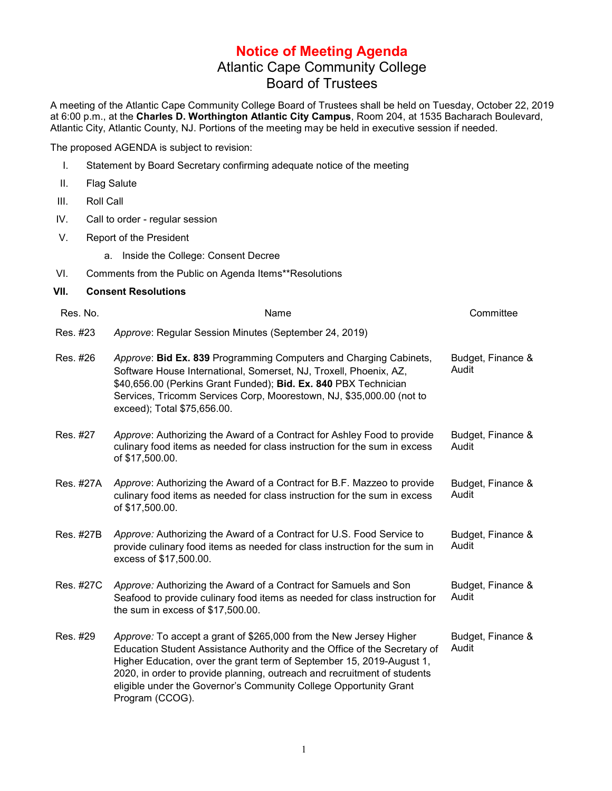## **Notice of Meeting Agenda** Atlantic Cape Community College Board of Trustees

A meeting of the Atlantic Cape Community College Board of Trustees shall be held on Tuesday, October 22, 2019 at 6:00 p.m., at the **Charles D. Worthington Atlantic City Campus**, Room 204, at 1535 Bacharach Boulevard, Atlantic City, Atlantic County, NJ. Portions of the meeting may be held in executive session if needed.

The proposed AGENDA is subject to revision:

- I. Statement by Board Secretary confirming adequate notice of the meeting
- II. Flag Salute
- III. Roll Call
- IV. Call to order regular session
- V. Report of the President
	- a. Inside the College: Consent Decree
- VI. Comments from the Public on Agenda Items\*\*Resolutions
- **VII. Consent Resolutions**

| Res. No.  | Name                                                                                                                                                                                                                                                                                                                                                                                         | Committee                  |
|-----------|----------------------------------------------------------------------------------------------------------------------------------------------------------------------------------------------------------------------------------------------------------------------------------------------------------------------------------------------------------------------------------------------|----------------------------|
| Res. #23  | Approve: Regular Session Minutes (September 24, 2019)                                                                                                                                                                                                                                                                                                                                        |                            |
| Res. #26  | Approve: Bid Ex. 839 Programming Computers and Charging Cabinets,<br>Software House International, Somerset, NJ, Troxell, Phoenix, AZ,<br>\$40,656.00 (Perkins Grant Funded); Bid. Ex. 840 PBX Technician<br>Services, Tricomm Services Corp, Moorestown, NJ, \$35,000.00 (not to<br>exceed); Total \$75,656.00.                                                                             | Budget, Finance &<br>Audit |
| Res. #27  | Approve: Authorizing the Award of a Contract for Ashley Food to provide<br>culinary food items as needed for class instruction for the sum in excess<br>of \$17,500.00.                                                                                                                                                                                                                      | Budget, Finance &<br>Audit |
| Res. #27A | Approve: Authorizing the Award of a Contract for B.F. Mazzeo to provide<br>culinary food items as needed for class instruction for the sum in excess<br>of \$17,500.00.                                                                                                                                                                                                                      | Budget, Finance &<br>Audit |
| Res. #27B | Approve: Authorizing the Award of a Contract for U.S. Food Service to<br>provide culinary food items as needed for class instruction for the sum in<br>excess of \$17,500.00.                                                                                                                                                                                                                | Budget, Finance &<br>Audit |
| Res. #27C | Approve: Authorizing the Award of a Contract for Samuels and Son<br>Seafood to provide culinary food items as needed for class instruction for<br>the sum in excess of \$17,500.00.                                                                                                                                                                                                          | Budget, Finance &<br>Audit |
| Res. #29  | Approve: To accept a grant of \$265,000 from the New Jersey Higher<br>Education Student Assistance Authority and the Office of the Secretary of<br>Higher Education, over the grant term of September 15, 2019-August 1,<br>2020, in order to provide planning, outreach and recruitment of students<br>eligible under the Governor's Community College Opportunity Grant<br>Program (CCOG). | Budget, Finance &<br>Audit |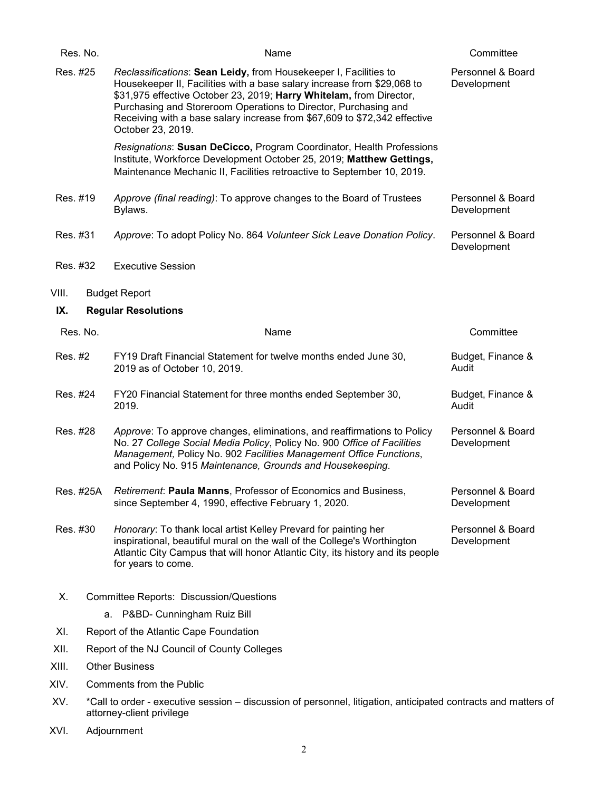|          | Res. No.  | Name                                                                                                                                                                                                                                                                                                                                                                                    | Committee                        |
|----------|-----------|-----------------------------------------------------------------------------------------------------------------------------------------------------------------------------------------------------------------------------------------------------------------------------------------------------------------------------------------------------------------------------------------|----------------------------------|
| Res. #25 |           | Reclassifications: Sean Leidy, from Housekeeper I, Facilities to<br>Housekeeper II, Facilities with a base salary increase from \$29,068 to<br>\$31,975 effective October 23, 2019; Harry Whitelam, from Director,<br>Purchasing and Storeroom Operations to Director, Purchasing and<br>Receiving with a base salary increase from \$67,609 to \$72,342 effective<br>October 23, 2019. | Personnel & Board<br>Development |
|          |           | Resignations: Susan DeCicco, Program Coordinator, Health Professions<br>Institute, Workforce Development October 25, 2019; Matthew Gettings,<br>Maintenance Mechanic II, Facilities retroactive to September 10, 2019.                                                                                                                                                                  |                                  |
| Res. #19 |           | Approve (final reading): To approve changes to the Board of Trustees<br>Bylaws.                                                                                                                                                                                                                                                                                                         | Personnel & Board<br>Development |
| Res. #31 |           | Approve: To adopt Policy No. 864 Volunteer Sick Leave Donation Policy.                                                                                                                                                                                                                                                                                                                  | Personnel & Board<br>Development |
| Res. #32 |           | <b>Executive Session</b>                                                                                                                                                                                                                                                                                                                                                                |                                  |
| VIII.    |           | <b>Budget Report</b>                                                                                                                                                                                                                                                                                                                                                                    |                                  |
| IX.      |           | <b>Regular Resolutions</b>                                                                                                                                                                                                                                                                                                                                                              |                                  |
|          | Res. No.  | Name                                                                                                                                                                                                                                                                                                                                                                                    | Committee                        |
| Res. #2  |           | FY19 Draft Financial Statement for twelve months ended June 30,<br>2019 as of October 10, 2019.                                                                                                                                                                                                                                                                                         | Budget, Finance &<br>Audit       |
| Res. #24 |           | FY20 Financial Statement for three months ended September 30,<br>2019.                                                                                                                                                                                                                                                                                                                  | Budget, Finance &<br>Audit       |
| Res. #28 |           | Approve: To approve changes, eliminations, and reaffirmations to Policy<br>No. 27 College Social Media Policy, Policy No. 900 Office of Facilities<br>Management, Policy No. 902 Facilities Management Office Functions,<br>and Policy No. 915 Maintenance, Grounds and Housekeeping.                                                                                                   | Personnel & Board<br>Development |
|          | Res. #25A | Retirement: Paula Manns, Professor of Economics and Business.<br>since September 4, 1990, effective February 1, 2020.                                                                                                                                                                                                                                                                   | Personnel & Board<br>Development |
| Res. #30 |           | Honorary: To thank local artist Kelley Prevard for painting her<br>inspirational, beautiful mural on the wall of the College's Worthington<br>Atlantic City Campus that will honor Atlantic City, its history and its people<br>for years to come.                                                                                                                                      | Personnel & Board<br>Development |
| Х.       |           | Committee Reports: Discussion/Questions                                                                                                                                                                                                                                                                                                                                                 |                                  |
|          |           | a. P&BD- Cunningham Ruiz Bill                                                                                                                                                                                                                                                                                                                                                           |                                  |
| XI.      |           | Report of the Atlantic Cape Foundation                                                                                                                                                                                                                                                                                                                                                  |                                  |
| XII.     |           | Report of the NJ Council of County Colleges                                                                                                                                                                                                                                                                                                                                             |                                  |
| XIII.    |           | <b>Other Business</b>                                                                                                                                                                                                                                                                                                                                                                   |                                  |
| XIV.     |           | Comments from the Public                                                                                                                                                                                                                                                                                                                                                                |                                  |
| XV.      |           | *Call to order - executive session – discussion of personnel, litigation, anticipated contracts and matters of<br>attorney-client privilege                                                                                                                                                                                                                                             |                                  |

XVI. Adjournment